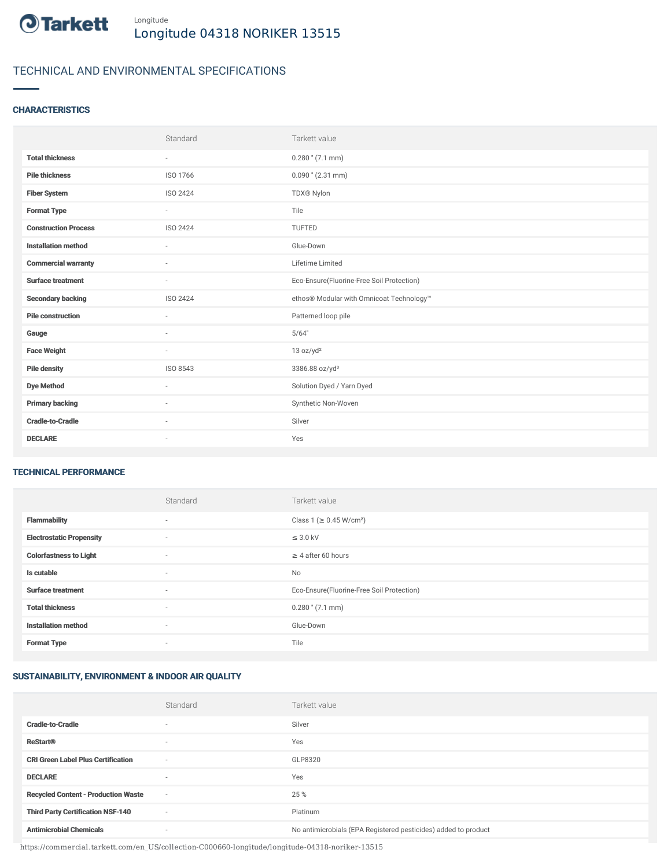

# TECHNICAL AND ENVIRONMENTAL SPECIFICATIONS

# **CHARACTERISTICS**

|                             | Standard                 | Tarkett value                             |
|-----------------------------|--------------------------|-------------------------------------------|
| <b>Total thickness</b>      | $\sim$                   | $0.280$ " (7.1 mm)                        |
| <b>Pile thickness</b>       | ISO 1766                 | $0.090$ " (2.31 mm)                       |
| <b>Fiber System</b>         | ISO 2424                 | TDX® Nylon                                |
| <b>Format Type</b>          | $\sim$                   | Tile                                      |
| <b>Construction Process</b> | ISO 2424                 | <b>TUFTED</b>                             |
| <b>Installation method</b>  | $\sim$                   | Glue-Down                                 |
| <b>Commercial warranty</b>  | $\sim$                   | Lifetime Limited                          |
| <b>Surface treatment</b>    | $\sim$                   | Eco-Ensure(Fluorine-Free Soil Protection) |
| <b>Secondary backing</b>    | ISO 2424                 | ethos® Modular with Omnicoat Technology™  |
| <b>Pile construction</b>    |                          | Patterned loop pile                       |
| Gauge                       | i.                       | 5/64"                                     |
| <b>Face Weight</b>          | $\sim$                   | 13 oz/yd <sup>2</sup>                     |
| <b>Pile density</b>         | ISO 8543                 | 3386.88 oz/yd <sup>3</sup>                |
| <b>Dye Method</b>           | $\sim$                   | Solution Dyed / Yarn Dyed                 |
| <b>Primary backing</b>      | $\sim$                   | Synthetic Non-Woven                       |
| <b>Cradle-to-Cradle</b>     | $\overline{\phantom{a}}$ | Silver                                    |
| <b>DECLARE</b>              | $\overline{\phantom{a}}$ | Yes                                       |

### TECHNICAL PERFORMANCE

|                                 | Standard                 | Tarkett value                             |
|---------------------------------|--------------------------|-------------------------------------------|
| <b>Flammability</b>             | $\overline{\phantom{a}}$ | Class 1 (≥ 0.45 W/cm <sup>2</sup> )       |
| <b>Electrostatic Propensity</b> | $\sim$                   | $\leq$ 3.0 kV                             |
| <b>Colorfastness to Light</b>   | ۰                        | $\geq 4$ after 60 hours                   |
| Is cutable                      | $\sim$                   | No                                        |
| <b>Surface treatment</b>        | $\sim$                   | Eco-Ensure(Fluorine-Free Soil Protection) |
| <b>Total thickness</b>          | $\sim$                   | $0.280$ " (7.1 mm)                        |
| <b>Installation method</b>      | $\sim$                   | Glue-Down                                 |
| <b>Format Type</b>              | ۰                        | Tile                                      |

## SUSTAINABILITY, ENVIRONMENT & INDOOR AIR QUALITY

|                                            | Standard                 | Tarkett value                                                  |
|--------------------------------------------|--------------------------|----------------------------------------------------------------|
| <b>Cradle-to-Cradle</b>                    | ۰                        | Silver                                                         |
| <b>ReStart®</b>                            | $\overline{\phantom{a}}$ | Yes                                                            |
| <b>CRI Green Label Plus Certification</b>  | $\overline{\phantom{a}}$ | GLP8320                                                        |
| <b>DECLARE</b>                             | $\overline{\phantom{a}}$ | Yes                                                            |
| <b>Recycled Content - Production Waste</b> | $\sim$                   | 25 %                                                           |
| <b>Third Party Certification NSF-140</b>   | $\overline{\phantom{a}}$ | Platinum                                                       |
| <b>Antimicrobial Chemicals</b>             | ۰                        | No antimicrobials (EPA Registered pesticides) added to product |

https://commercial.tarkett.com/en\_US/collection-C000660-longitude/longitude-04318-noriker-13515